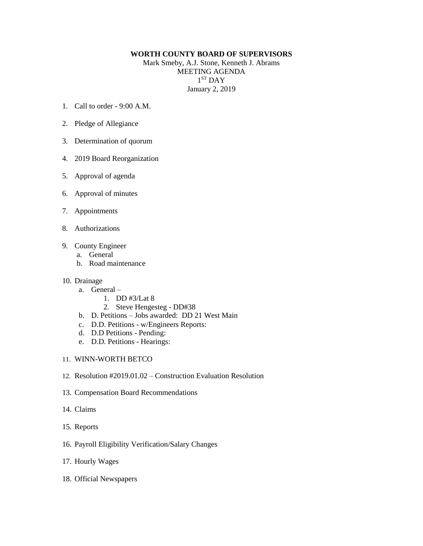## **WORTH COUNTY BOARD OF SUPERVISORS**

Mark Smeby, A.J. Stone, Kenneth J. Abrams MEETING AGENDA 1 ST DAY January 2, 2019

- 1. Call to order 9:00 A.M.
- 2. Pledge of Allegiance
- 3. Determination of quorum
- 4. 2019 Board Reorganization
- 5. Approval of agenda
- 6. Approval of minutes
- 7. Appointments
- 8. Authorizations
- 9. County Engineer
	- a. General
	- b. Road maintenance
- 10. Drainage
	- a. General
		- 1. DD #3/Lat 8
		- 2. Steve Hengesteg DD#38
	- b. D. Petitions Jobs awarded: DD 21 West Main
	- c. D.D. Petitions w/Engineers Reports:
	- d. D.D Petitions Pending:
	- e. D.D. Petitions Hearings:
- 11. WINN-WORTH BETCO
- 12. Resolution #2019.01.02 Construction Evaluation Resolution
- 13. Compensation Board Recommendations
- 14. Claims
- 15. Reports
- 16. Payroll Eligibility Verification/Salary Changes
- 17. Hourly Wages
- 18. Official Newspapers